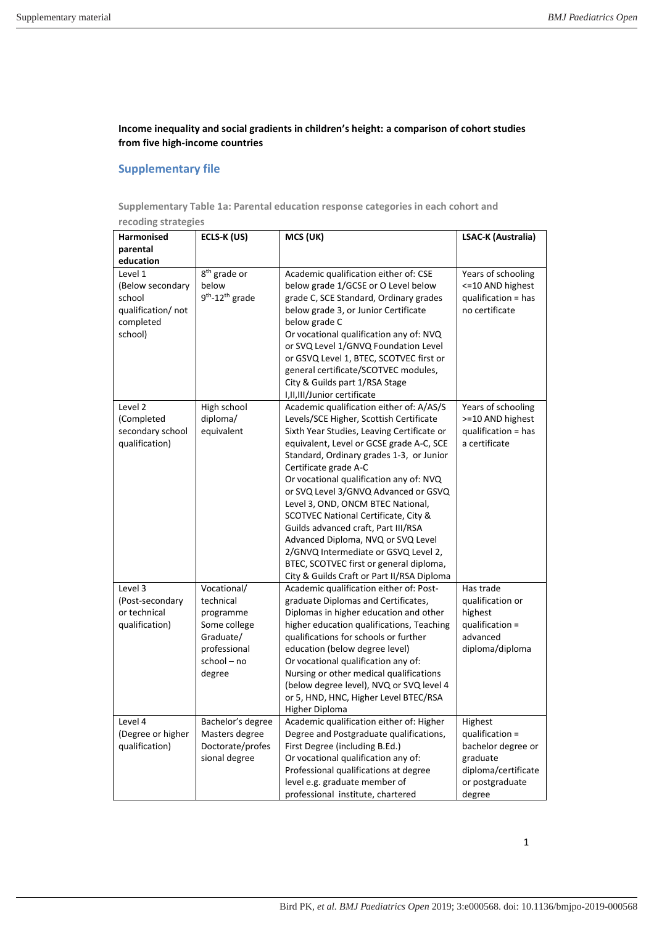## **Income inequality and social gradients in children's height: a comparison of cohort studies from five high-income countries**

## **Supplementary file**

**Supplementary Table 1a: Parental education response categories in each cohort and** 

| recoding strategies                                                                 |                                                                                                             |                                                                                                                                                                                                                                                                                                                                                                                                                                                                                                                                                                                                                                  |                                                                                                                  |  |  |  |  |  |  |
|-------------------------------------------------------------------------------------|-------------------------------------------------------------------------------------------------------------|----------------------------------------------------------------------------------------------------------------------------------------------------------------------------------------------------------------------------------------------------------------------------------------------------------------------------------------------------------------------------------------------------------------------------------------------------------------------------------------------------------------------------------------------------------------------------------------------------------------------------------|------------------------------------------------------------------------------------------------------------------|--|--|--|--|--|--|
| Harmonised<br>parental                                                              | ECLS-K (US)                                                                                                 | MCS (UK)                                                                                                                                                                                                                                                                                                                                                                                                                                                                                                                                                                                                                         | LSAC-K (Australia)                                                                                               |  |  |  |  |  |  |
| education                                                                           |                                                                                                             |                                                                                                                                                                                                                                                                                                                                                                                                                                                                                                                                                                                                                                  |                                                                                                                  |  |  |  |  |  |  |
| Level 1<br>(Below secondary<br>school<br>qualification/ not<br>completed<br>school) | 8 <sup>th</sup> grade or<br>below<br>$9th - 12th$ grade                                                     | Academic qualification either of: CSE<br>below grade 1/GCSE or O Level below<br>grade C, SCE Standard, Ordinary grades<br>below grade 3, or Junior Certificate<br>below grade C<br>Or vocational qualification any of: NVQ<br>or SVQ Level 1/GNVQ Foundation Level<br>or GSVQ Level 1, BTEC, SCOTVEC first or<br>general certificate/SCOTVEC modules,<br>City & Guilds part 1/RSA Stage<br>I,II,III/Junior certificate                                                                                                                                                                                                           | Years of schooling<br><= 10 AND highest<br>qualification = has<br>no certificate                                 |  |  |  |  |  |  |
| Level 2<br>(Completed<br>secondary school<br>qualification)                         | High school<br>diploma/<br>equivalent                                                                       | Academic qualification either of: A/AS/S<br>Levels/SCE Higher, Scottish Certificate<br>Sixth Year Studies, Leaving Certificate or<br>equivalent, Level or GCSE grade A-C, SCE<br>Standard, Ordinary grades 1-3, or Junior<br>Certificate grade A-C<br>Or vocational qualification any of: NVQ<br>or SVQ Level 3/GNVQ Advanced or GSVQ<br>Level 3, OND, ONCM BTEC National,<br>SCOTVEC National Certificate, City &<br>Guilds advanced craft, Part III/RSA<br>Advanced Diploma, NVQ or SVQ Level<br>2/GNVQ Intermediate or GSVQ Level 2,<br>BTEC, SCOTVEC first or general diploma,<br>City & Guilds Craft or Part II/RSA Diploma | Years of schooling<br>>=10 AND highest<br>qualification = has<br>a certificate                                   |  |  |  |  |  |  |
| Level 3<br>(Post-secondary<br>or technical<br>qualification)                        | Vocational/<br>technical<br>programme<br>Some college<br>Graduate/<br>professional<br>school - no<br>degree | Academic qualification either of: Post-<br>graduate Diplomas and Certificates,<br>Diplomas in higher education and other<br>higher education qualifications, Teaching<br>qualifications for schools or further<br>education (below degree level)<br>Or vocational qualification any of:<br>Nursing or other medical qualifications<br>(below degree level), NVQ or SVQ level 4<br>or 5, HND, HNC, Higher Level BTEC/RSA<br>Higher Diploma                                                                                                                                                                                        | Has trade<br>qualification or<br>highest<br>qualification =<br>advanced<br>diploma/diploma                       |  |  |  |  |  |  |
| Level 4<br>(Degree or higher<br>qualification)                                      | Bachelor's degree<br>Masters degree<br>Doctorate/profes<br>sional degree                                    | Academic qualification either of: Higher<br>Degree and Postgraduate qualifications,<br>First Degree (including B.Ed.)<br>Or vocational qualification any of:<br>Professional qualifications at degree<br>level e.g. graduate member of<br>professional institute, chartered                                                                                                                                                                                                                                                                                                                                                      | Highest<br>qualification =<br>bachelor degree or<br>graduate<br>diploma/certificate<br>or postgraduate<br>degree |  |  |  |  |  |  |

1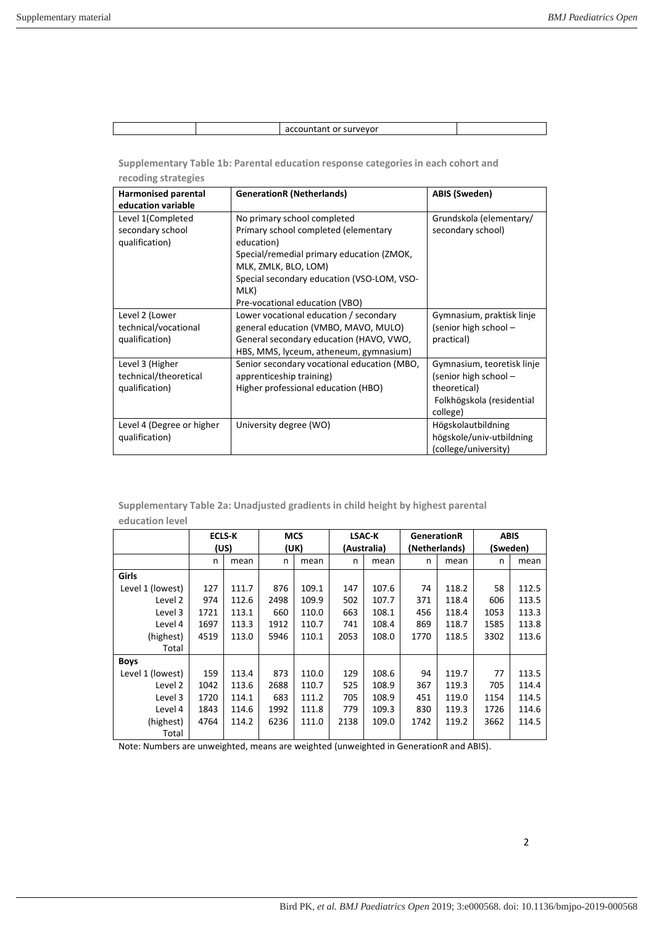## accountant or surveyor

**Supplementary Table 1b: Parental education response categories in each cohort and recoding strategies** 

| <b>Harmonised parental</b><br>education variable           | <b>GenerationR (Netherlands)</b>                                                                                                                                                                                                               | <b>ABIS (Sweden)</b>                                                                                         |
|------------------------------------------------------------|------------------------------------------------------------------------------------------------------------------------------------------------------------------------------------------------------------------------------------------------|--------------------------------------------------------------------------------------------------------------|
| Level 1(Completed<br>secondary school<br>qualification)    | No primary school completed<br>Primary school completed (elementary<br>education)<br>Special/remedial primary education (ZMOK,<br>MLK, ZMLK, BLO, LOM)<br>Special secondary education (VSO-LOM, VSO-<br>MLK)<br>Pre-vocational education (VBO) | Grundskola (elementary/<br>secondary school)                                                                 |
| Level 2 (Lower<br>technical/vocational<br>qualification)   | Lower vocational education / secondary<br>general education (VMBO, MAVO, MULO)<br>General secondary education (HAVO, VWO,<br>HBS, MMS, lyceum, atheneum, gymnasium)                                                                            | Gymnasium, praktisk linje<br>(senior high school -<br>practical)                                             |
| Level 3 (Higher<br>technical/theoretical<br>qualification) | Senior secondary vocational education (MBO,<br>apprenticeship training)<br>Higher professional education (HBO)                                                                                                                                 | Gymnasium, teoretisk linje<br>(senior high school -<br>theoretical)<br>Folkhögskola (residential<br>college) |
| Level 4 (Degree or higher<br>qualification)                | University degree (WO)                                                                                                                                                                                                                         | Högskolautbildning<br>högskole/univ-utbildning<br>(college/university)                                       |

**Supplementary Table 2a: Unadjusted gradients in child height by highest parental education level** 

|                  | <b>ECLS-K</b><br>(US) |       | <b>MCS</b><br>(UK) |       | LSAC-K<br>(Australia) |       | <b>GenerationR</b><br>(Netherlands) |       | <b>ABIS</b><br>(Sweden) |       |
|------------------|-----------------------|-------|--------------------|-------|-----------------------|-------|-------------------------------------|-------|-------------------------|-------|
|                  |                       |       |                    |       |                       |       |                                     |       |                         |       |
|                  | n                     | mean  | n                  | mean  | n                     | mean  | n                                   | mean  | n                       | mean  |
| Girls            |                       |       |                    |       |                       |       |                                     |       |                         |       |
| Level 1 (lowest) | 127                   | 111.7 | 876                | 109.1 | 147                   | 107.6 | 74                                  | 118.2 | 58                      | 112.5 |
| Level 2          | 974                   | 112.6 | 2498               | 109.9 | 502                   | 107.7 | 371                                 | 118.4 | 606                     | 113.5 |
| Level 3          | 1721                  | 113.1 | 660                | 110.0 | 663                   | 108.1 | 456                                 | 118.4 | 1053                    | 113.3 |
| Level 4          | 1697                  | 113.3 | 1912               | 110.7 | 741                   | 108.4 | 869                                 | 118.7 | 1585                    | 113.8 |
| (highest)        | 4519                  | 113.0 | 5946               | 110.1 | 2053                  | 108.0 | 1770                                | 118.5 | 3302                    | 113.6 |
| Total            |                       |       |                    |       |                       |       |                                     |       |                         |       |
| <b>Boys</b>      |                       |       |                    |       |                       |       |                                     |       |                         |       |
| Level 1 (lowest) | 159                   | 113.4 | 873                | 110.0 | 129                   | 108.6 | 94                                  | 119.7 | 77                      | 113.5 |
| Level 2          | 1042                  | 113.6 | 2688               | 110.7 | 525                   | 108.9 | 367                                 | 119.3 | 705                     | 114.4 |
| Level 3          | 1720                  | 114.1 | 683                | 111.2 | 705                   | 108.9 | 451                                 | 119.0 | 1154                    | 114.5 |
| Level 4          | 1843                  | 114.6 | 1992               | 111.8 | 779                   | 109.3 | 830                                 | 119.3 | 1726                    | 114.6 |
| (highest)        | 4764                  | 114.2 | 6236               | 111.0 | 2138                  | 109.0 | 1742                                | 119.2 | 3662                    | 114.5 |
| Total            |                       |       |                    |       |                       |       |                                     |       |                         |       |

Note: Numbers are unweighted, means are weighted (unweighted in GenerationR and ABIS).